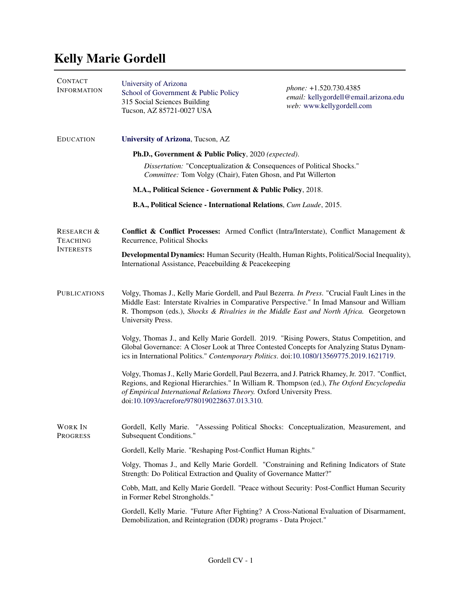## Kelly Marie Gordell

| <b>CONTACT</b><br><b>INFORMATION</b>                         | University of Arizona<br>School of Government & Public Policy<br>315 Social Sciences Building<br>Tucson, AZ 85721-0027 USA                                                                                                                                                                                            | phone: +1.520.730.4385<br>email: kellygordell@email.arizona.edu<br>web: www.kellygordell.com |  |
|--------------------------------------------------------------|-----------------------------------------------------------------------------------------------------------------------------------------------------------------------------------------------------------------------------------------------------------------------------------------------------------------------|----------------------------------------------------------------------------------------------|--|
| <b>EDUCATION</b>                                             | University of Arizona, Tucson, AZ<br>Ph.D., Government & Public Policy, 2020 (expected).<br>Dissertation: "Conceptualization & Consequences of Political Shocks."<br>Committee: Tom Volgy (Chair), Faten Ghosn, and Pat Willerton<br>M.A., Political Science - Government & Public Policy, 2018.                      |                                                                                              |  |
|                                                              |                                                                                                                                                                                                                                                                                                                       |                                                                                              |  |
|                                                              |                                                                                                                                                                                                                                                                                                                       |                                                                                              |  |
|                                                              |                                                                                                                                                                                                                                                                                                                       |                                                                                              |  |
|                                                              | B.A., Political Science - International Relations, Cum Laude, 2015.                                                                                                                                                                                                                                                   |                                                                                              |  |
| <b>RESEARCH &amp;</b><br><b>TEACHING</b><br><b>INTERESTS</b> | Conflict & Conflict Processes: Armed Conflict (Intra/Interstate), Conflict Management &<br>Recurrence, Political Shocks                                                                                                                                                                                               |                                                                                              |  |
|                                                              | Developmental Dynamics: Human Security (Health, Human Rights, Political/Social Inequality),<br>International Assistance, Peacebuilding & Peacekeeping                                                                                                                                                                 |                                                                                              |  |
| <b>PUBLICATIONS</b>                                          | Volgy, Thomas J., Kelly Marie Gordell, and Paul Bezerra. In Press. "Crucial Fault Lines in the<br>Middle East: Interstate Rivalries in Comparative Perspective." In Imad Mansour and William<br>R. Thompson (eds.), Shocks & Rivalries in the Middle East and North Africa. Georgetown<br>University Press.           |                                                                                              |  |
|                                                              | Volgy, Thomas J., and Kelly Marie Gordell. 2019. "Rising Powers, Status Competition, and<br>Global Governance: A Closer Look at Three Contested Concepts for Analyzing Status Dynam-<br>ics in International Politics." Contemporary Politics. doi:10.1080/13569775.2019.1621719.                                     |                                                                                              |  |
|                                                              | Volgy, Thomas J., Kelly Marie Gordell, Paul Bezerra, and J. Patrick Rhamey, Jr. 2017. "Conflict,<br>Regions, and Regional Hierarchies." In William R. Thompson (ed.), The Oxford Encyclopedia<br>of Empirical International Relations Theory. Oxford University Press.<br>doi:10.1093/acrefore/9780190228637.013.310. |                                                                                              |  |
| <b>WORK IN</b><br><b>PROGRESS</b>                            | Gordell, Kelly Marie. "Assessing Political Shocks: Conceptualization, Measurement, and<br>Subsequent Conditions."                                                                                                                                                                                                     |                                                                                              |  |
|                                                              | Gordell, Kelly Marie. "Reshaping Post-Conflict Human Rights."                                                                                                                                                                                                                                                         |                                                                                              |  |
|                                                              | Volgy, Thomas J., and Kelly Marie Gordell. "Constraining and Refining Indicators of State<br>Strength: Do Political Extraction and Quality of Governance Matter?"                                                                                                                                                     |                                                                                              |  |
|                                                              | Cobb, Matt, and Kelly Marie Gordell. "Peace without Security: Post-Conflict Human Security<br>in Former Rebel Strongholds."                                                                                                                                                                                           |                                                                                              |  |
|                                                              | Gordell, Kelly Marie. "Future After Fighting? A Cross-National Evaluation of Disarmament,<br>Demobilization, and Reintegration (DDR) programs - Data Project."                                                                                                                                                        |                                                                                              |  |
|                                                              |                                                                                                                                                                                                                                                                                                                       |                                                                                              |  |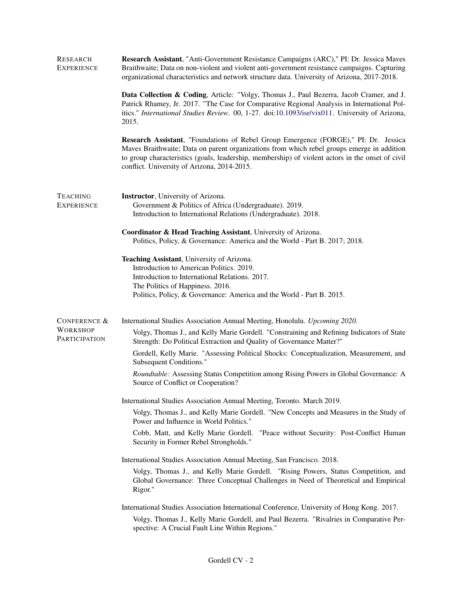| <b>RESEARCH</b><br><b>EXPERIENCE</b> | Research Assistant, "Anti-Government Resistance Campaigns (ARC)," PI: Dr. Jessica Maves<br>Braithwaite; Data on non-violent and violent anti-government resistance campaigns. Capturing<br>organizational characteristics and network structure data. University of Arizona, 2017-2018.                                                                                                                                                                                                                                                                                                                                                    |  |  |
|--------------------------------------|--------------------------------------------------------------------------------------------------------------------------------------------------------------------------------------------------------------------------------------------------------------------------------------------------------------------------------------------------------------------------------------------------------------------------------------------------------------------------------------------------------------------------------------------------------------------------------------------------------------------------------------------|--|--|
|                                      | Data Collection & Coding, Article: "Volgy, Thomas J., Paul Bezerra, Jacob Cramer, and J.<br>Patrick Rhamey, Jr. 2017. "The Case for Comparative Regional Analysis in International Pol-<br>itics." International Studies Review. 00, 1-27. doi:10.1093/isr/vix011. University of Arizona,<br>2015.<br>Research Assistant, "Foundations of Rebel Group Emergence (FORGE)," PI: Dr. Jessica<br>Maves Braithwaite; Data on parent organizations from which rebel groups emerge in addition<br>to group characteristics (goals, leadership, membership) of violent actors in the onset of civil<br>conflict. University of Arizona, 2014-2015. |  |  |
|                                      |                                                                                                                                                                                                                                                                                                                                                                                                                                                                                                                                                                                                                                            |  |  |
| <b>TEACHING</b><br><b>EXPERIENCE</b> | <b>Instructor</b> , University of Arizona.<br>Government & Politics of Africa (Undergraduate). 2019.                                                                                                                                                                                                                                                                                                                                                                                                                                                                                                                                       |  |  |
|                                      | Introduction to International Relations (Undergraduate). 2018.                                                                                                                                                                                                                                                                                                                                                                                                                                                                                                                                                                             |  |  |
|                                      | Coordinator & Head Teaching Assistant, University of Arizona.<br>Politics, Policy, & Governance: America and the World - Part B. 2017; 2018.                                                                                                                                                                                                                                                                                                                                                                                                                                                                                               |  |  |
|                                      | Teaching Assistant, University of Arizona.<br>Introduction to American Politics. 2019.                                                                                                                                                                                                                                                                                                                                                                                                                                                                                                                                                     |  |  |
|                                      | Introduction to International Relations. 2017.<br>The Politics of Happiness. 2016.                                                                                                                                                                                                                                                                                                                                                                                                                                                                                                                                                         |  |  |
|                                      | Politics, Policy, & Governance: America and the World - Part B. 2015.                                                                                                                                                                                                                                                                                                                                                                                                                                                                                                                                                                      |  |  |
| CONFERENCE &                         | International Studies Association Annual Meeting, Honolulu. Upcoming 2020.                                                                                                                                                                                                                                                                                                                                                                                                                                                                                                                                                                 |  |  |
| <b>WORKSHOP</b><br>PARTICIPATION     | Volgy, Thomas J., and Kelly Marie Gordell. "Constraining and Refining Indicators of State<br>Strength: Do Political Extraction and Quality of Governance Matter?"                                                                                                                                                                                                                                                                                                                                                                                                                                                                          |  |  |
|                                      | Gordell, Kelly Marie. "Assessing Political Shocks: Conceptualization, Measurement, and<br>Subsequent Conditions."                                                                                                                                                                                                                                                                                                                                                                                                                                                                                                                          |  |  |
|                                      | Roundtable: Assessing Status Competition among Rising Powers in Global Governance: A<br>Source of Conflict or Cooperation?                                                                                                                                                                                                                                                                                                                                                                                                                                                                                                                 |  |  |
|                                      | International Studies Association Annual Meeting, Toronto. March 2019.                                                                                                                                                                                                                                                                                                                                                                                                                                                                                                                                                                     |  |  |
|                                      | Volgy, Thomas J., and Kelly Marie Gordell. "New Concepts and Measures in the Study of<br>Power and Influence in World Politics."                                                                                                                                                                                                                                                                                                                                                                                                                                                                                                           |  |  |
|                                      | Cobb, Matt, and Kelly Marie Gordell.<br>"Peace without Security: Post-Conflict Human<br>Security in Former Rebel Strongholds."                                                                                                                                                                                                                                                                                                                                                                                                                                                                                                             |  |  |
|                                      | International Studies Association Annual Meeting, San Francisco. 2018.                                                                                                                                                                                                                                                                                                                                                                                                                                                                                                                                                                     |  |  |
|                                      | Volgy, Thomas J., and Kelly Marie Gordell. "Rising Powers, Status Competition, and<br>Global Governance: Three Conceptual Challenges in Need of Theoretical and Empirical<br>Rigor."                                                                                                                                                                                                                                                                                                                                                                                                                                                       |  |  |
|                                      | International Studies Association International Conference, University of Hong Kong. 2017.                                                                                                                                                                                                                                                                                                                                                                                                                                                                                                                                                 |  |  |
|                                      | Volgy, Thomas J., Kelly Marie Gordell, and Paul Bezerra. "Rivalries in Comparative Per-<br>spective: A Crucial Fault Line Within Regions."                                                                                                                                                                                                                                                                                                                                                                                                                                                                                                 |  |  |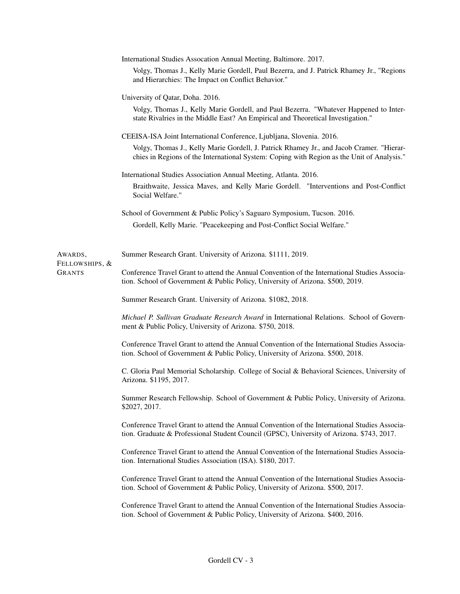|                | International Studies Assocation Annual Meeting, Baltimore. 2017.                                                                                                                          |  |  |
|----------------|--------------------------------------------------------------------------------------------------------------------------------------------------------------------------------------------|--|--|
|                | Volgy, Thomas J., Kelly Marie Gordell, Paul Bezerra, and J. Patrick Rhamey Jr., "Regions<br>and Hierarchies: The Impact on Conflict Behavior."                                             |  |  |
|                | University of Qatar, Doha. 2016.                                                                                                                                                           |  |  |
|                | Volgy, Thomas J., Kelly Marie Gordell, and Paul Bezerra. "Whatever Happened to Inter-<br>state Rivalries in the Middle East? An Empirical and Theoretical Investigation."                  |  |  |
|                | CEEISA-ISA Joint International Conference, Ljubljana, Slovenia. 2016.                                                                                                                      |  |  |
|                | Volgy, Thomas J., Kelly Marie Gordell, J. Patrick Rhamey Jr., and Jacob Cramer. "Hierar-<br>chies in Regions of the International System: Coping with Region as the Unit of Analysis."     |  |  |
|                | International Studies Association Annual Meeting, Atlanta. 2016.                                                                                                                           |  |  |
|                | Braithwaite, Jessica Maves, and Kelly Marie Gordell. "Interventions and Post-Conflict<br>Social Welfare."                                                                                  |  |  |
|                | School of Government & Public Policy's Saguaro Symposium, Tucson. 2016.                                                                                                                    |  |  |
|                | Gordell, Kelly Marie. "Peacekeeping and Post-Conflict Social Welfare."                                                                                                                     |  |  |
| AWARDS,        | Summer Research Grant. University of Arizona. \$1111, 2019.                                                                                                                                |  |  |
| Fellowships, & |                                                                                                                                                                                            |  |  |
| Grants         | Conference Travel Grant to attend the Annual Convention of the International Studies Associa-<br>tion. School of Government & Public Policy, University of Arizona. \$500, 2019.           |  |  |
|                | Summer Research Grant. University of Arizona. \$1082, 2018.                                                                                                                                |  |  |
|                | Michael P. Sullivan Graduate Research Award in International Relations. School of Govern-<br>ment & Public Policy, University of Arizona. \$750, 2018.                                     |  |  |
|                | Conference Travel Grant to attend the Annual Convention of the International Studies Associa-<br>tion. School of Government & Public Policy, University of Arizona. \$500, 2018.           |  |  |
|                | C. Gloria Paul Memorial Scholarship. College of Social & Behavioral Sciences, University of<br>Arizona. \$1195, 2017.                                                                      |  |  |
|                | Summer Research Fellowship. School of Government & Public Policy, University of Arizona.<br>\$2027, 2017.                                                                                  |  |  |
|                | Conference Travel Grant to attend the Annual Convention of the International Studies Associa-<br>tion. Graduate & Professional Student Council (GPSC), University of Arizona. \$743, 2017. |  |  |
|                | Conference Travel Grant to attend the Annual Convention of the International Studies Associa-<br>tion. International Studies Association (ISA). \$180, 2017.                               |  |  |
|                | Conference Travel Grant to attend the Annual Convention of the International Studies Associa-<br>tion. School of Government & Public Policy, University of Arizona. \$500, 2017.           |  |  |
|                | Conference Travel Grant to attend the Annual Convention of the International Studies Associa-<br>tion. School of Government & Public Policy, University of Arizona. \$400, 2016.           |  |  |
|                |                                                                                                                                                                                            |  |  |